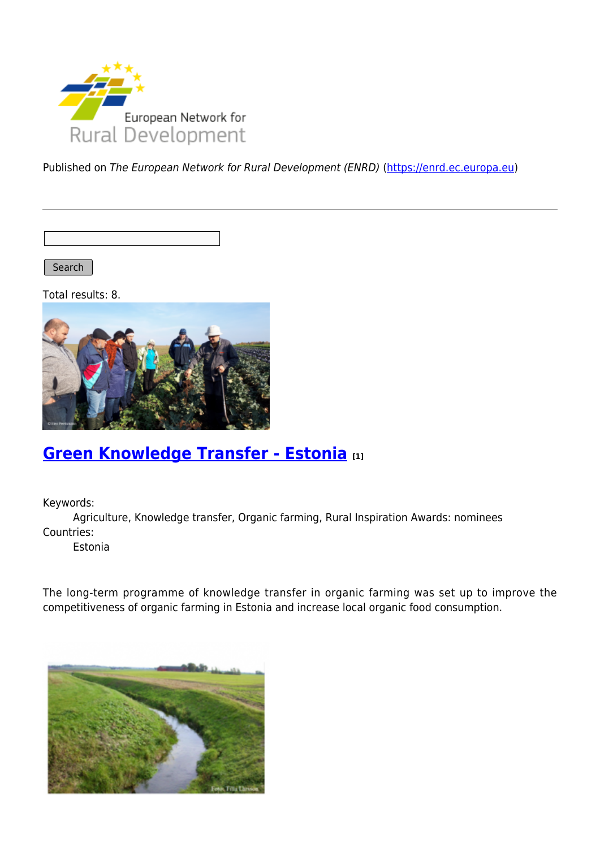

Published on The European Network for Rural Development (ENRD) [\(https://enrd.ec.europa.eu](https://enrd.ec.europa.eu))

Search |

Total results: 8.



## **[Green Knowledge Transfer - Estonia](https://enrd.ec.europa.eu/projects-practice/green-knowledge-transfer-estonia_en) [1]**

Keywords:

Agriculture, Knowledge transfer, Organic farming, Rural Inspiration Awards: nominees Countries:

Estonia

The long-term programme of knowledge transfer in organic farming was set up to improve the competitiveness of organic farming in Estonia and increase local organic food consumption.

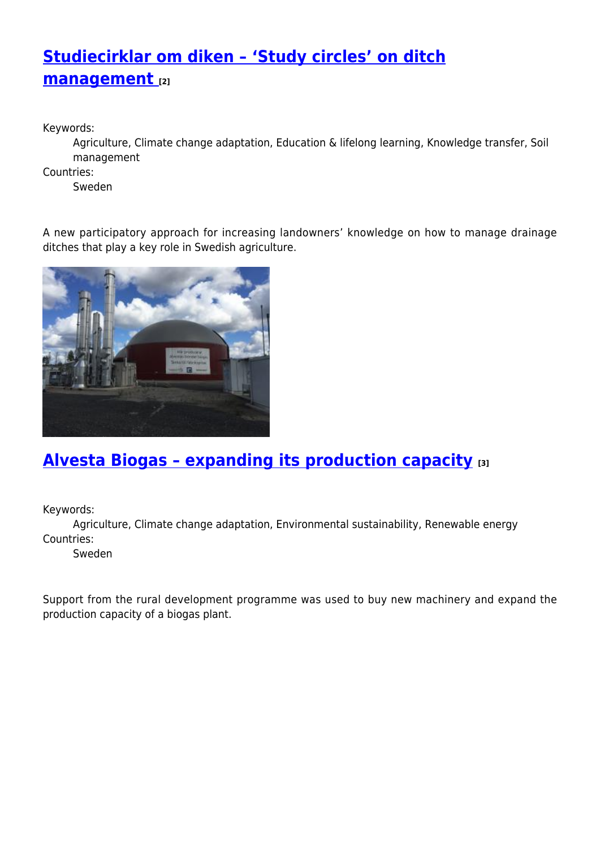# **[Studiecirklar om diken – 'Study circles' on ditch](https://enrd.ec.europa.eu/projects-practice/studiecirklar-om-diken-study-circles-ditch-management_en) [management](https://enrd.ec.europa.eu/projects-practice/studiecirklar-om-diken-study-circles-ditch-management_en) [2]**

Keywords:

Agriculture, Climate change adaptation, Education & lifelong learning, Knowledge transfer, Soil management

Countries:

Sweden

A new participatory approach for increasing landowners' knowledge on how to manage drainage ditches that play a key role in Swedish agriculture.



## **[Alvesta Biogas – expanding its production capacity](https://enrd.ec.europa.eu/projects-practice/alvesta-biogas-expanding-its-production-capacity_en) [3]**

Keywords:

Agriculture, Climate change adaptation, Environmental sustainability, Renewable energy Countries:

Sweden

Support from the rural development programme was used to buy new machinery and expand the production capacity of a biogas plant.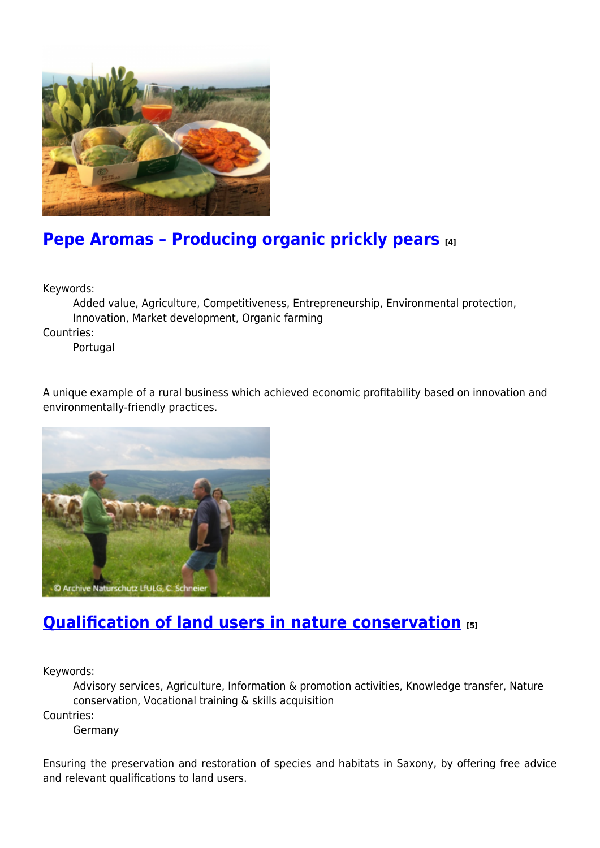

# **[Pepe Aromas – Producing organic prickly pears](https://enrd.ec.europa.eu/projects-practice/pepe-aromas-producing-organic-prickly-pears_en) [4]**

Keywords:

Added value, Agriculture, Competitiveness, Entrepreneurship, Environmental protection, Innovation, Market development, Organic farming

Countries:

Portugal

A unique example of a rural business which achieved economic profitability based on innovation and environmentally-friendly practices.



# **[Qualification of land users in nature conservation](https://enrd.ec.europa.eu/projects-practice/qualification-land-users-nature-conservation_en) [5]**

Keywords:

Advisory services, Agriculture, Information & promotion activities, Knowledge transfer, Nature conservation, Vocational training & skills acquisition

Countries:

Germany

Ensuring the preservation and restoration of species and habitats in Saxony, by offering free advice and relevant qualifications to land users.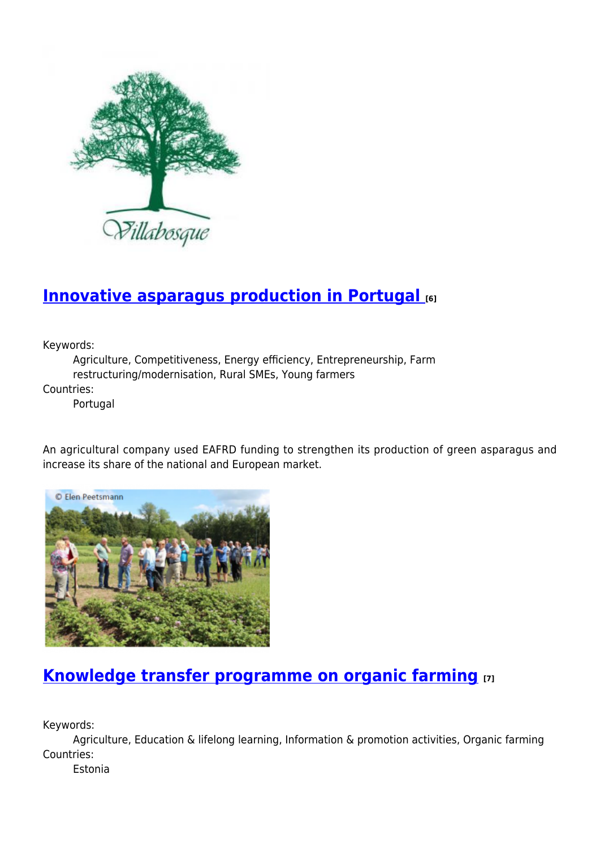

## **[Innovative asparagus production in Portugal](https://enrd.ec.europa.eu/projects-practice/innovative-asparagus-production-portugal_en) [6]**

Keywords:

Agriculture, Competitiveness, Energy efficiency, Entrepreneurship, Farm restructuring/modernisation, Rural SMEs, Young farmers

Countries:

Portugal

An agricultural company used EAFRD funding to strengthen its production of green asparagus and increase its share of the national and European market.



## **[Knowledge transfer programme on organic farming](https://enrd.ec.europa.eu/projects-practice/knowledge-transfer-programme-organic-farming_en) [7]**

Keywords:

Agriculture, Education & lifelong learning, Information & promotion activities, Organic farming Countries:

Estonia